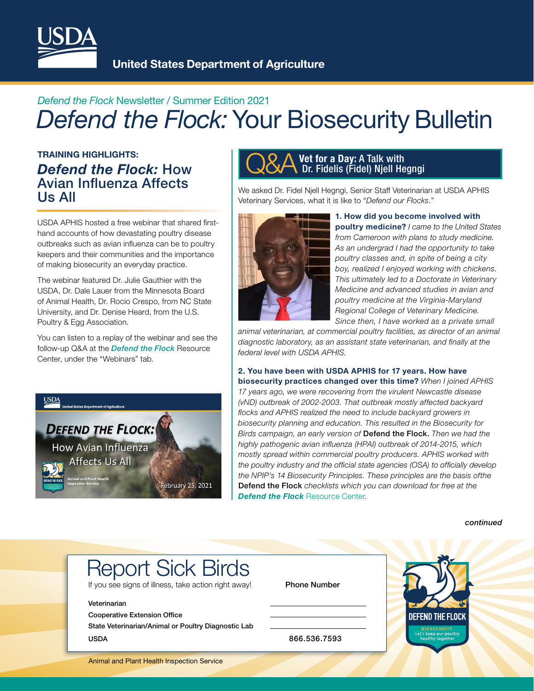

### *Defend the Flock* Newsletter / Summer Edition 2021 *Defend the Flock:* Your Biosecurity Bulletin

### TRAINING HIGHLIGHTS: *Defend the Flock:* How Avian Infuenza Affects Us All

USDA APHIS hosted a free webinar that shared frsthand accounts of how devastating poultry disease outbreaks such as avian infuenza can be to poultry keepers and their communities and the importance of making biosecurity an everyday practice.

The webinar featured Dr. Julie Gauthier with the USDA, Dr. Dale Lauer from the Minnesota Board of Animal Health, Dr. Rocio Crespo, from NC State University, and Dr. Denise Heard, from the U.S. Poultry & Egg Association.

You can listen to a replay of the webinar and see the follow-up Q&A at the *Defend the Flock* Resource Center, under the "Webinars" tab.



### **Q&A** Vet for a Day: A Talk with<br>Dr. Fidelis (Fidel) Njell He Dr. Fidelis (Fidel) Njell Hegngi

We asked Dr. Fidel Njell Hegngi, Senior Staff Veterinarian at USDA APHIS Veterinary Services, what it is like to "*Defend our Flocks*."



1. How did you become involved with poultry medicine? *I came to the United States from Cameroon with plans to study medicine. As an undergrad I had the opportunity to take poultry classes and, in spite of being a city boy, realized I enjoyed working with chickens. This ultimately led to a Doctorate in Veterinary Medicine and advanced studies in avian and poultry medicine at the Virginia-Maryland Regional College of Veterinary Medicine. Since then, I have worked as a private small*

*animal veterinarian, at commercial poultry facilities, as director of an animal diagnostic laboratory, as an assistant state veterinarian, and fnally at the federal level with USDA APHIS.* 

2. You have been with USDA APHIS for 17 years. How have biosecurity practices changed over this time? *When I joined APHIS 17 years ago, we were recovering from the virulent Newcastle disease (vND) outbreak of 2002-2003. That outbreak mostly affected backyard focks and APHIS realized the need to include backyard growers in biosecurity planning and education. This resulted in the Biosecurity for Birds campaign, an early version of* Defend the Flock. *Then we had the highly pathogenic avian infuenza (HPAI) outbreak of 2014-2015, which mostly spread within commercial poultry producers. APHIS worked with the poultry industry and the offcial state agencies (OSA) to offcially develop the NPIP's 14 Biosecurity Principles. These principles are the basis ofthe* Defend the Flock *checklists which you can download for free at the* **Defend the Flock** Resource Center.

*continued* 

## Report Sick Birds

If you see signs of illness, take action right away!

#### Veterinarian

Cooperative Extension Office

State Veterinarian/Animal or Poultry Diagnostic Lab USDA 866.536.7593

Phone Number